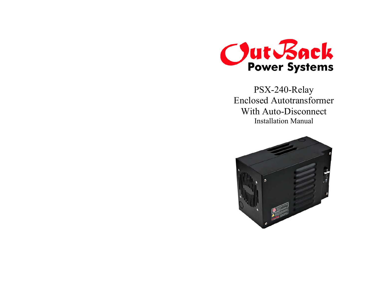

PSX-240-Relay Enclosed Autotransformer With Auto-Disconnect Installation Manual

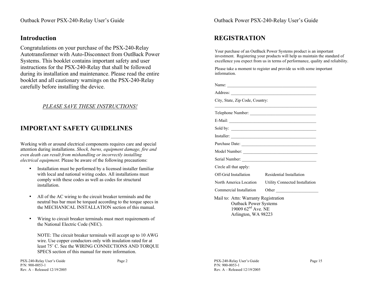#### **Introduction**

Congratulations on your purchase of the PSX-240-Relay Autotransformer with Auto-Disconnect from OutBack Power Systems. This booklet contains important safety and user instructions for the PSX-240-Relay that shall be followed during its installation and maintenance. Please read the entire booklet and all cautionary warnings on the PSX-240-Relay carefully before installing the device.

#### *PLEASE SAVE THESE INSTRUCTIONS!*

### **IMPORTANT SAFETY GUIDELINES**

Working with or around electrical components requires care and special attention during installations. *Shock, burns, equipment damage, fire and even death can result from mishandling or incorrectly installing electrical equipment*. Please be aware of the following precautions:

- • Installation must be performed by a licensed installer familiar with local and national wiring codes. All installations must comply with these codes as well as codes for structural installation.
- • All of the AC wiring to the circuit breaker terminals and the neutral bus bar must be torqued according to the torque specs in the MECHANICAL INSTALLATION section of this manual.
- • Wiring to circuit breaker terminals must meet requirements of the National Electric Code (NEC).

NOTE: The circuit breaker terminals will accept up to 10 AWG wire. Use copper conductors only with insulation rated for at least 75˚ C. See the WIRING CONNECTIONS AND TORQUE SPECS section of this manual for more information.

P/N: 900-0053-1

Rev. A – Released 12/19/2005

PSX-240-Relay User's Guide Page 15

Outback Power PSX-240-Relay User's Guide

# **REGISTRATION**

Your purchase of an OutBack Power Systems product is an important investment. Registering your products will help us maintain the standard of excellence you expect from us in terms of performance, quality and reliability.

Please take a moment to register and provide us with some important information.

 $\mathcal{L}_\text{max}$  and the contract of the contract of the contract of the contract of the contract of the contract of the contract of the contract of the contract of the contract of the contract of the contract of the contrac

E-Mail: \_\_\_\_\_\_\_\_\_\_\_\_\_\_\_\_\_\_\_\_\_\_\_\_\_\_\_\_\_\_\_\_\_\_\_\_\_\_\_\_\_  $Sold by: \begin{tabular}{|l|l|} \hline \end{tabular}$ Installer: \_\_\_\_\_\_\_\_\_\_\_\_\_\_\_\_\_\_\_\_\_\_\_\_\_\_\_\_\_\_\_\_\_\_\_\_\_\_\_\_ Purchase Date: \_\_\_\_\_\_\_\_\_\_\_\_\_\_\_\_\_\_\_\_\_\_\_\_\_\_\_\_\_\_\_\_\_\_\_ Model Number: \_\_\_\_\_\_\_\_\_\_\_\_\_\_\_\_\_\_\_\_\_\_\_\_\_\_\_\_\_\_\_\_\_\_\_ Serial Number: \_\_\_\_\_\_\_\_\_\_\_\_\_\_\_\_\_\_\_\_\_\_\_\_\_\_\_\_\_\_\_\_\_\_\_

Off-Grid Installation Residential Installation

Mail to: Attn: Warranty Registration Outback Power Systems 19009  $62<sup>nd</sup>$  Ave. NE Arlington, WA 98223

North America Location Utility Connected Installation Commercial Installation Other

Name: \_\_\_\_\_\_\_\_\_\_\_\_\_\_\_\_\_\_\_\_\_\_\_\_\_\_\_\_\_\_\_\_\_\_\_\_\_\_\_\_\_\_

Address: \_\_\_\_\_\_\_\_\_\_\_\_\_\_\_\_\_\_\_\_\_\_\_\_\_\_\_\_\_\_\_\_\_\_\_\_\_\_\_\_

City, State, Zip Code, Country:

Telephone Number: \_\_\_\_\_\_\_\_\_\_\_\_\_\_\_\_\_\_\_\_\_\_\_\_\_\_\_\_\_\_\_

Circle all that apply: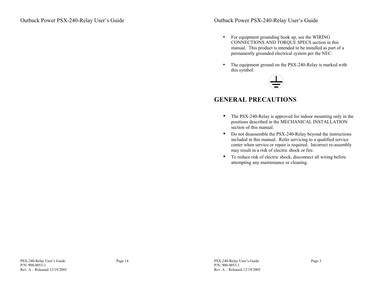- For equipment grounding hook up, see the WIRING CONNECTIONS AND TORQUE SPECS section in this manual. This product is intended to be installed as part of a permanently grounded electrical system per the NEC.
- The equipment ground on the PSX-240-Relay is marked with this symbol:



### **GENERAL PRECAUTIONS**

- $\bullet$  The PSX-240-Relay is approved for indoor mounting only in the positions described in the MECHANICAL INSTALLATION section of this manual.
- • Do not disassemble the PSX-240-Relay beyond the instructions included in this manual. Refer servicing to a qualified service center when service or repair is required. Incorrect re-assembly may result in a risk of electric shock or fire.
- To reduce risk of electric shock, disconnect all wiring before attempting any maintenance or cleaning.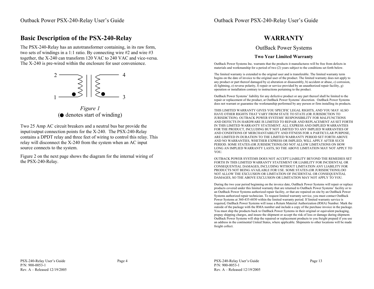#### **Basic Description of the PSX-240-Relay**

The PSX-240-Relay has an autotransformer containing, in its raw form, two sets of windings in a 1:1 ratio. By connecting wire #2 and wire #3 together, the X-240 can transform 120 VAC to 240 VAC and vice-versa. The X-240 is pre-wired within the enclosure for user convenience.



*Figure 1*  $\left( \bullet \right)$  denotes start of winding)

Two 25 Amp AC circuit breakers and a neutral bus bar provide the input/output connection points for the X-240. The PSX-240-Relay contains a DPDT relay and three feet of wiring to control this relay. This relay will disconnect the X-240 from the system when an AC input source connects to the system.

Figure 2 on the next page shows the diagram for the internal wiring of the PSX-240-Relay.

#### **WARRANTY**

#### OutBack Power Systems

#### **Two Year Limited Warranty**

OutBack Power Systems Inc. warrants that the products it manufactures will be free from defects in materials and workmanship for a period of two (2) years subject to the conditions set forth below.

The limited warranty is extended to the original user and is transferable. The limited warranty term begins on the date of invoice to the original user of the product. The limited warranty does not apply to any product or part thereof damaged by a) alteration or disassembly, b) accident or abuse, c) corrosion, d) lightning, e) reverse polarity, f) repair or service provided by an unauthorized repair facility, g) operation or installation contrary to instructions pertaining to the product.

OutBack Power Systems' liability for any defective product or any part thereof shall be limited to the repair or replacement of the product, at OutBack Power Systems' discretion. OutBack Power Systems does not warrant or guarantee the workmanship performed by any person or firm installing its products.

THIS LIMITED WARRANTY GIVES YOU SPECIFIC LEGAL RIGHTS, AND YOU MAY ALSO HAVE OTHER RIGHTS THAT VARY FROM STATE TO STATE (OR JURISDICTION TO JURISDICTION). OUTBACK POWER SYSTEMS' RESPONSIBILITY FOR MALFUNCTIONS AND DEFECTS IN HARDWARE IS LIMITED TO REPAIR AND REPLACEMENT AS SET FORTH IN THIS LIMITED WARRANTY STATEMENT. ALL EXPRESS AND IMPLIED WARRANTIES FOR THE PRODUCT, INCLUDING BUT NOT LIMITED TO ANY IMPLIED WARRANTIES OF AND CONDITIONS OF MERCHANTABILITY AND FITNESS FOR A PARTICULAR PURPOSE, ARE LIMITED IN DURATION TO THE LIMITED WARRANTY PERIOD SET FORTH ABOVE AND NO WARRANTIES, WHETHER EXPRESS OR IMPLIED, WILL APPLY AFTER SUCH PERIOD. SOME STATES (OR JURISDICTIONS) DO NOT ALLOW LIMITATIONS ON HOW LONG AN IMPLIED WARRANTY LASTS, SO THE ABOVE LIMITATION MAY NOT APPLY TO YOU.

OUTBACK POWER SYSTEMS DOES NOT ACCEPT LIABILITY BEYOND THE REMEDIES SET FORTH IN THIS LIMITED WARRANTY STATEMENT OR LIABILITY FOR INCIDENTAL OR CONSEQUENTIAL DAMAGES, INCLUDING WITHOUT LIMITATION ANY LIABILITY FOR PRODUCTS NOT BEING AVAILABLE FOR USE. SOME STATES (OR JURISDICTIONS) DO NOT ALLOW THE EXCLUSION OR LIMITATION OF INCIDENTAL OR CONSEQUENTIAL DAMAGES, SO THE ABOVE EXCLUSION OR LIMITATION MAY NOT APPLY TO YOU.

During the two year period beginning on the invoice date, OutBack Power Systems will repair or replace products covered under this limited warranty that are returned to OutBack Power Systems' facility or to an OutBack Power Systems authorized repair facility, or that are repaired on site by an OutBack Power Systems authorized repair technician. To request limited warranty service, you must contact OutBack Power Systems at 360-435-6030 within the limited warranty period. If limited warranty service is required, OutBack Power Systems will issue a Return Material Authorization (RMA) Number. Mark the outside of the package with the RMA number and include a copy of the purchase invoice in the package. You must ship the products back to OutBack Power Systems in their original or equivalent packaging, prepay shipping charges, and insure the shipment or accept the risk of loss or damage during shipment. OutBack Power Systems will ship the repaired or replacement products to you freight prepaid if you use an address in the continental United States, where applicable. Shipments to other locations will be made freight collect.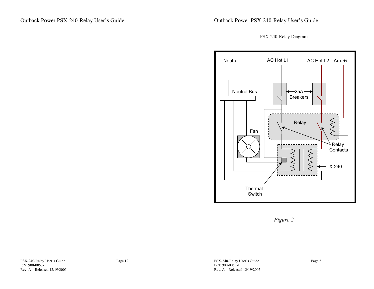PSX-240-Relay Diagram



*Figure 2*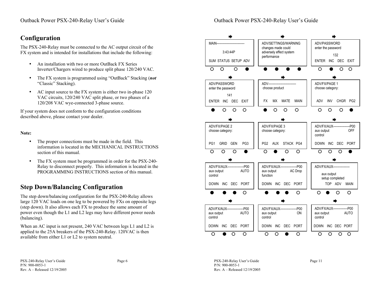### **Configuration**

The PSX-240-Relay must be connected to the AC output circuit of the FX system and is intended for installations that include the following:

- • An installation with two or more OutBack FX Series Inverter/Chargers wired to produce split phase 120/240 VAC.
- • The FX system is programmed using "OutBack" Stacking (*not* "Classic" Stacking).
- • AC input source to the FX system is either two in-phase 120 VAC circuits, 120/240 VAC split phase, or two phases of a 120/208 VAC wye-connected 3-phase source.

If your system does not conform to the configuration conditions described above, please contact your dealer.

#### **Note:**

- • The proper connections must be made in the field. This information is located in the MECHANICAL INSTRUCTIONS section of this manual.
- • The FX system must be programmed in order for the PSX-240- Relay to disconnect properly. This information is located in the PROGRAMMING INSTRUCTIONS section of this manual.

# **Step Down/Balancing Configuration**

The step down/balancing configuration for the PSX-240-Relay allows large 120 VAC loads on one leg to be powered by FXs on opposite legs (step down). It also allows each FX to produce the same amount of power even though the L1 and L2 legs may have different power needs (balancing).

When an AC input is not present, 240 VAC between legs L1 and L2 is applied to the 25A breakers of the PSX-240-Relay. 120VAC is then available from either L1 or L2 to system neutral.

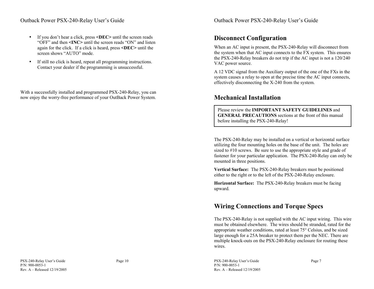#### Outback Power PSX-240-Relay User's Guide

- • If you don't hear a click, press **<DEC>** until the screen reads "OFF" and then **<INC>** until the screen reads "ON" and listen again for the click. If a click is heard, press **<DEC>** until the screen shows "AUTO" mode.
- • If still no click is heard, repeat all programming instructions. Contact your dealer if the programming is unsuccessful.

With a successfully installed and programmed PSX-240-Relay, you can now enjoy the worry-free performance of your OutBack Power System.

### **Disconnect Configuration**

When an AC input is present, the PSX-240-Relay will disconnect from the system when that AC input connects to the FX system. This ensures the PSX-240-Relay breakers do not trip if the AC input is not a 120/240 VAC power source.

A 12 VDC signal from the Auxiliary output of the one of the FXs in the system causes a relay to open at the precise time the AC input connects, effectively disconnecting the X-240 from the system.

#### **Mechanical Installation**

Please review the **IMPORTANT SAFETY GUIDELINES** and**GENERAL PRECAUTIONS** sections at the front of this manual before installing the PSX-240-Relay!

The PSX-240-Relay may be installed on a vertical or horizontal surface utilizing the four mounting holes on the base of the unit. The holes are sized to #10 screws. Be sure to use the appropriate style and grade of fastener for your particular application. The PSX-240-Relay can only be mounted in three positions.

**Vertical Surface:** The PSX-240-Relay breakers must be positioned either to the right or to the left of the PSX-240-Relay enclosure.

**Horizontal Surface:** The PSX-240-Relay breakers must be facing upward.

# **Wiring Connections and Torque Specs**

The PSX-240-Relay is not supplied with the AC input wiring. This wire must be obtained elsewhere. The wires should be stranded, rated for the appropriate weather conditions, rated at least 75° Celsius, and be sized large enough for a 25A breaker to protect them per the NEC. There are multiple knock-outs on the PSX-240-Relay enclosure for routing these wires.

PSX-240-Relay User's Guide Page 7 P/N: 900-0053-1 Rev. A – Released 12/19/2005